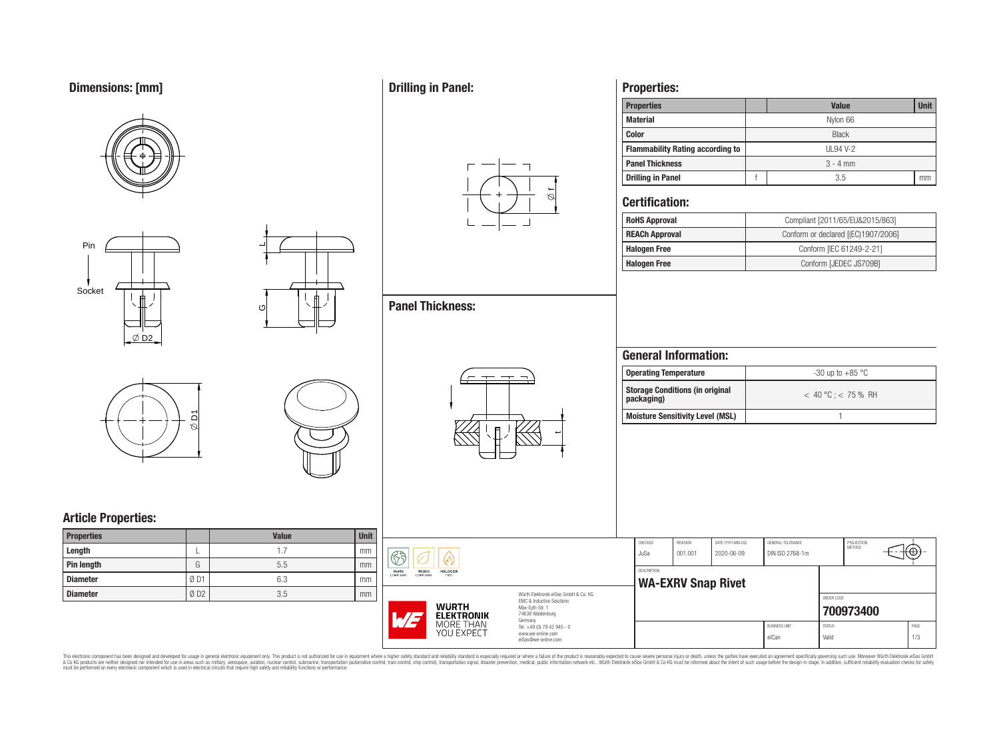# **Dimensions: [mm]**









 $\overline{\phantom{0}}$ 

ပ

# **Article Properties:**

| <b>Properties</b> |     | <b>Value</b> | <b>Unit</b> |
|-------------------|-----|--------------|-------------|
| Length            |     |              | mm          |
| Pin length        | G   | 5.5          | mm          |
| <b>Diameter</b>   | ØD1 | 6.3          | mm          |
| <b>Diameter</b>   | ØD2 | 3.5          | mm          |

## **Drilling in Panel:**

**Panel Thickness:**



## **Properties:**

| <b>Properties</b>                       |              | <b>Unit</b><br><b>Value</b> |  |  |  |  |  |  |
|-----------------------------------------|--------------|-----------------------------|--|--|--|--|--|--|
| <b>Material</b>                         |              | Nylon 66                    |  |  |  |  |  |  |
| <b>Color</b>                            | <b>Black</b> |                             |  |  |  |  |  |  |
| <b>Flammability Rating according to</b> |              | UL94 V-2                    |  |  |  |  |  |  |
| <b>Panel Thickness</b>                  | $3 - 4$ mm   |                             |  |  |  |  |  |  |
| <b>Drilling in Panel</b>                | 3.5          |                             |  |  |  |  |  |  |

### **Certification:**

| <b>RoHS Approval</b>  | Compliant [2011/65/EU&2015/863]     |
|-----------------------|-------------------------------------|
| <b>REACh Approval</b> | Conform or declared [(EC)1907/2006] |
| <b>Halogen Free</b>   | Conform [IEC 61249-2-21]            |
| <b>Halogen Free</b>   | Conform [JEDEC JS709B]              |

## **General Information:**

| <b>Operating Temperature</b>                         | $-30$ up to $+85$ °C    |
|------------------------------------------------------|-------------------------|
| <b>Storage Conditions (in original</b><br>packaging) | $< 40 °C$ : $< 75 %$ RH |
| <b>Moisture Sensitivity Level (MSL)</b>              |                         |

|                                                                                      |                                                 | CHECKED<br>JuSa | REVISION<br>001.001 | DATE (YYYY-MM-DD)<br>2020-06-09 |  |
|--------------------------------------------------------------------------------------|-------------------------------------------------|-----------------|---------------------|---------------------------------|--|
| REACh<br><b>HALOGEN</b><br>COMPLIANT<br>FREE<br>Würth Elektronik eiSos GmbH & Co. KG | <b>DESCRIPTION</b><br><b>WA-EXRV Snap Rivet</b> |                 |                     |                                 |  |

 $\dot{\,}$ 



BUSINESS UNIT STATUS STATUS PAGE eiCan Valid 1/3



 $\overline{\mathbb{G}}$ RoHS<br>COMPLIANT

> Würth Elektronik eiSos GmbH & Co. KG EMC & Inductive Solutions Max-Eyth-Str. 1 74638 Waldenburg Germany Tel. +49 (0) 79 42 945 - 0 www.we-online.com eiSos@we-online.com

This electronic component has been designed and developed for usage in general electronic equipment only. This product is not authorized for subserved requipment where a higher selection equipment where a higher selection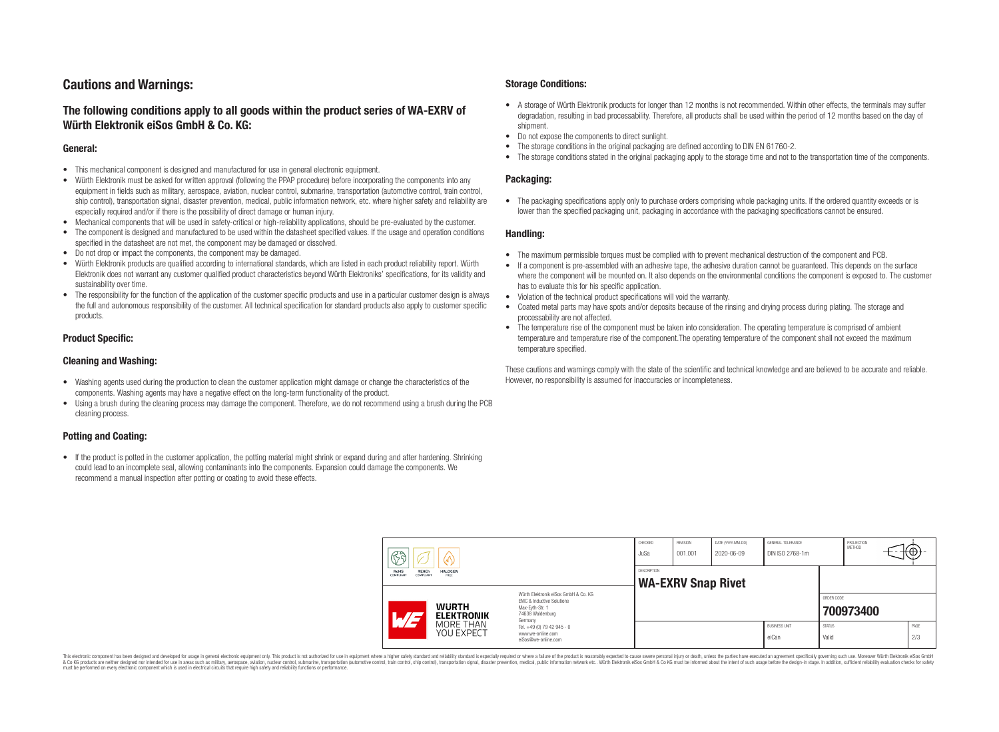## **Cautions and Warnings:**

### **The following conditions apply to all goods within the product series of WA-EXRV of Würth Elektronik eiSos GmbH & Co. KG:**

#### **General:**

- This mechanical component is designed and manufactured for use in general electronic equipment.
- Würth Elektronik must be asked for written approval (following the PPAP procedure) before incorporating the components into any equipment in fields such as military, aerospace, aviation, nuclear control, submarine, transportation (automotive control, train control, ship control), transportation signal, disaster prevention, medical, public information network, etc. where higher safety and reliability are especially required and/or if there is the possibility of direct damage or human injury.
- Mechanical components that will be used in safety-critical or high-reliability applications, should be pre-evaluated by the customer.
- The component is designed and manufactured to be used within the datasheet specified values. If the usage and operation conditions specified in the datasheet are not met, the component may be damaged or dissolved.
- Do not drop or impact the components, the component may be damaged.<br>• Wirth Elektronik products are qualified according to international standard
- Würth Elektronik products are qualified according to international standards, which are listed in each product reliability report. Würth Elektronik does not warrant any customer qualified product characteristics beyond Würth Elektroniks' specifications, for its validity and sustainability over time.
- The responsibility for the function of the application of the customer specific products and use in a particular customer design is always the full and autonomous responsibility of the customer. All technical specification for standard products also apply to customer specific products.

#### **Product Specific:**

#### **Cleaning and Washing:**

- Washing agents used during the production to clean the customer application might damage or change the characteristics of the components. Washing agents may have a negative effect on the long-term functionality of the product.
- Using a brush during the cleaning process may damage the component. Therefore, we do not recommend using a brush during the PCB cleaning process.

#### **Potting and Coating:**

• If the product is potted in the customer application, the potting material might shrink or expand during and after hardening. Shrinking could lead to an incomplete seal, allowing contaminants into the components. Expansion could damage the components. We recommend a manual inspection after potting or coating to avoid these effects.

#### **Storage Conditions:**

- A storage of Würth Elektronik products for longer than 12 months is not recommended. Within other effects, the terminals may suffer degradation, resulting in bad processability. Therefore, all products shall be used within the period of 12 months based on the day of shipment.
- Do not expose the components to direct sunlight.<br>• The storage conditions in the original packaging
- The storage conditions in the original packaging are defined according to DIN EN 61760-2.
- The storage conditions stated in the original packaging apply to the storage time and not to the transportation time of the components.

#### **Packaging:**

• The packaging specifications apply only to purchase orders comprising whole packaging units. If the ordered quantity exceeds or is lower than the specified packaging unit, packaging in accordance with the packaging specifications cannot be ensured.

#### **Handling:**

- The maximum permissible torques must be complied with to prevent mechanical destruction of the component and PCB.
- If a component is pre-assembled with an adhesive tape, the adhesive duration cannot be guaranteed. This depends on the surface where the component will be mounted on. It also depends on the environmental conditions the component is exposed to. The customer has to evaluate this for his specific application.
- Violation of the technical product specifications will void the warranty.
- Coated metal parts may have spots and/or deposits because of the rinsing and drying process during plating. The storage and processability are not affected.
- The temperature rise of the component must be taken into consideration. The operating temperature is comprised of ambient temperature and temperature rise of the component.The operating temperature of the component shall not exceed the maximum temperature specified.

These cautions and warnings comply with the state of the scientific and technical knowledge and are believed to be accurate and reliable. However, no responsibility is assumed for inaccuracies or incompleteness.

|                                                                   | $\mathbb{C}^2$                                                                                                                                                                       |                                          | CHECKED<br>JuSa                                                        | <b>REVISION</b><br>001.001 | DATE (YYYY-MM-DD)<br>2020-06-09 | GENERAL TOLERANCE<br>DIN ISO 2768-1m |                               | PROJECTION<br>METHOD   | ₭⊕} |             |
|-------------------------------------------------------------------|--------------------------------------------------------------------------------------------------------------------------------------------------------------------------------------|------------------------------------------|------------------------------------------------------------------------|----------------------------|---------------------------------|--------------------------------------|-------------------------------|------------------------|-----|-------------|
| RoHS<br>REACh<br><b>HALOGEN</b><br>COMPLIANT<br>COMPLIANT<br>FREE |                                                                                                                                                                                      | DESCRIPTION<br><b>WA-EXRV Snap Rivet</b> |                                                                        |                            |                                 |                                      |                               |                        |     |             |
|                                                                   | Würth Elektronik eiSos GmbH & Co. KG<br>EMC & Inductive Solutions<br><b>WURTH</b><br>Max-Evth-Str. 1<br>74638 Waldenburg<br><b>ELEKTRONIK</b><br>$\overline{\phantom{a}}$<br>Germany |                                          |                                                                        |                            |                                 |                                      | ORDER CODE                    | 700973400              |     |             |
|                                                                   |                                                                                                                                                                                      | MORE THAN<br>YOU EXPECT                  | Tel. +49 (0) 79 42 945 - 0<br>www.we-online.com<br>eiSos@we-online.com |                            |                                 |                                      | <b>BUSINESS UNIT</b><br>eiCan | <b>STATUS</b><br>Valid |     | PAGE<br>2/3 |

This electronic component has been designed and developed for usage in general electronic equipment only. This product is not authorized for use in equipment where a higher safety standard and reliability standard si espec & Ook product a label and the membed of the seasuch as marked and as which such a membed and the such assume that income in the seasuch and the simulation and the such assume that include to the such a membed and the such